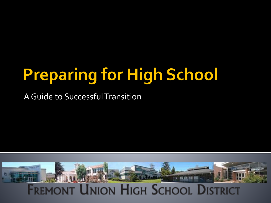# **Preparing for High School**

A Guide to Successful Transition

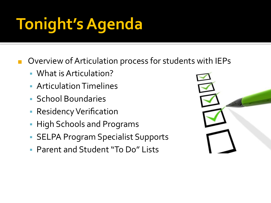# **Tonight's Agenda**

Overview of Articulation process for students with IEPs

- What is Articulation?
- **E** Articulation Timelines
- School Boundaries
- **Residency Verification**
- **High Schools and Programs**
- SELPA Program Specialist Supports
- Parent and Student "To Do" Lists

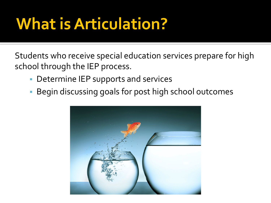# **What is Articulation?**

Students who receive special education services prepare for high school through the IEP process.

- **Determine IEP supports and services**
- **Begin discussing goals for post high school outcomes**

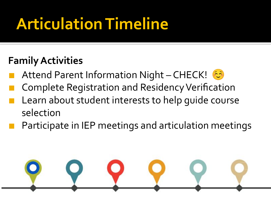# **Articulation Timeline**

#### **Family Activities**

- Attend Parent Information Night CHECK!
- Complete Registration and Residency Verification
- Learn about student interests to help quide course selection
- Participate in IEP meetings and articulation meetings

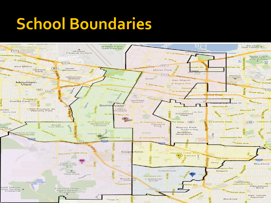## **School Boundaries**

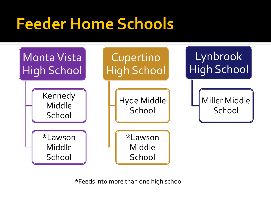# **Feeder Home Schools**



**\***Feeds into more than one high school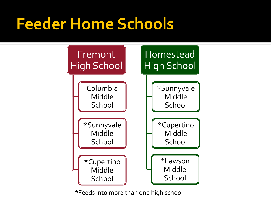### **Feeder Home Schools**



**\***Feeds into more than one high school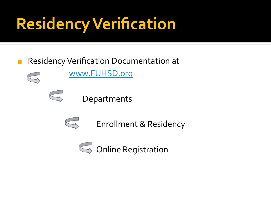# **Residency Verification**

#### ■ Residency Verification Documentation at

[www.FUHSD.org](http://www.fuhsd.org)

Departments



 $\bigodot$ 

 $\bigodot$ 

Enrollment & Residency

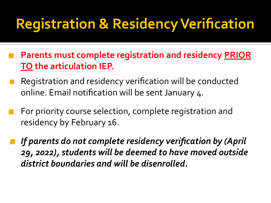#### **Registration & Residency Verification**

- **Parents must complete registration and residency PRIOR TO the articulation IEP.**
- Registration and residency verification will be conducted online. Email notification will be sent January 4.
- For priority course selection, complete registration and residency by February 16.
- **If parents do not complete residency verification by (April** *29, 2022), students will be deemed to have moved outside district boundaries and will be disenrolled.*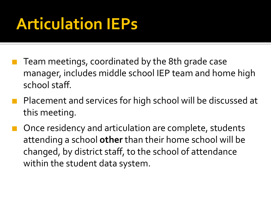# **Articulation IEPs**

- Team meetings, coordinated by the 8th grade case manager, includes middle school IEP team and home high school staff.
- Placement and services for high school will be discussed at this meeting.
- Once residency and articulation are complete, students attending a school **other** than their home school will be changed, by district staff, to the school of attendance within the student data system.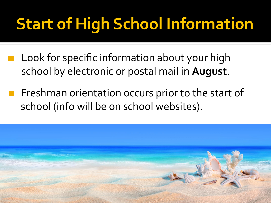# **Start of High School Information**

- Look for specific information about your high school by electronic or postal mail in **August**.
- Freshman orientation occurs prior to the start of school (info will be on school websites).

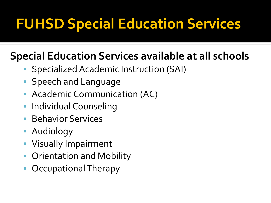#### **FUHSD Special Education Services**

#### **Special Education Services available at all schools**

- Specialized Academic Instruction (SAI)
- **Speech and Language**
- Academic Communication (AC)
- **The Individual Counseling**
- **Behavior Services**
- **E** Audiology
- Visually Impairment
- Orientation and Mobility
- Occupational Therapy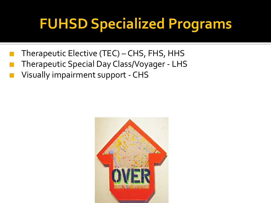## **FUHSD Specialized Programs**

- Therapeutic Elective (TEC) CHS, FHS, HHS
- Therapeutic Special Day Class/Voyager LHS
- Visually impairment support CHS

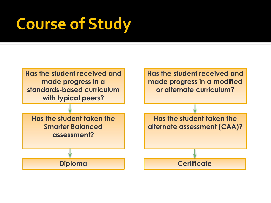# **Course of Study**

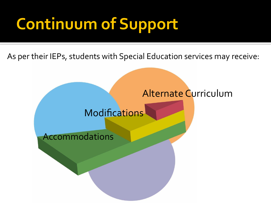# **Continuum of Support**

As per their IEPs, students with Special Education services may receive:

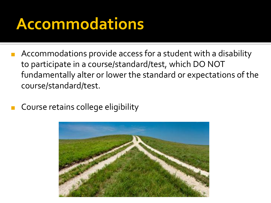## **Accommodations**

- Accommodations provide access for a student with a disability to participate in a course/standard/test, which DO NOT fundamentally alter or lower the standard or expectations of the course/standard/test.
- Course retains college eligibility

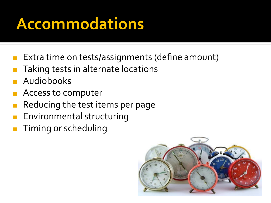# **Accommodations**

- Extra time on tests/assignments (define amount)
- Taking tests in alternate locations
- **Audiobooks**
- ◼ Access to computer
- Reducing the test items per page
- Environmental structuring
- Timing or scheduling

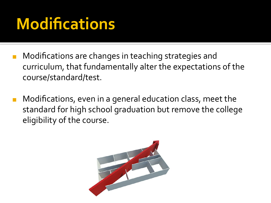# **Modifications**

- Modifications are changes in teaching strategies and curriculum, that fundamentally alter the expectations of the course/standard/test.
- Modifications, even in a general education class, meet the standard for high school graduation but remove the college eligibility of the course.

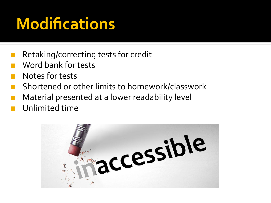# **Modifications**

- Retaking/correcting tests for credit
- Word bank for tests
- Notes for tests
- ◼ Shortened or other limits to homework/classwork
- Material presented at a lower readability level
- Unlimited time

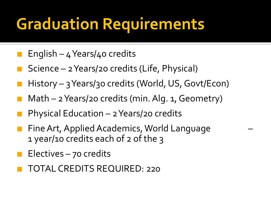# **Graduation Requirements**

- English  $4$  Years/ $4$ o credits
- Science 2 Years/20 credits (Life, Physical)
- History 3 Years/30 credits (World, US, Govt/Econ)
- Math 2 Years/20 credits (min. Alg. 1, Geometry)
- Physical Education  $-$  2 Years/20 credits
- Fine Art, Applied Academics, World Language 1 year/10 credits each of 2 of the 3
- $E$ lectives 70 credits
- ◼ TOTAL CREDITS REQUIRED: 220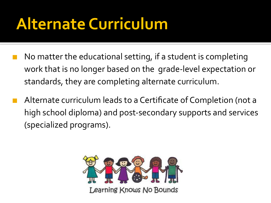# **Alternate Curriculum**

- No matter the educational setting, if a student is completing work that is no longer based on the grade-level expectation or standards, they are completing alternate curriculum.
- Alternate curriculum leads to a Certificate of Completion (not a high school diploma) and post-secondary supports and services (specialized programs).

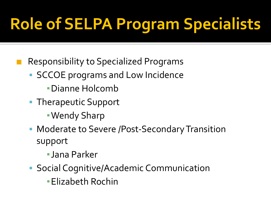# **Role of SELPA Program Specialists**

- Responsibility to Specialized Programs
	- SCCOE programs and Low Incidence
		- ▪Dianne Holcomb
	- Therapeutic Support
		- ▪Wendy Sharp
	- Moderate to Severe /Post-Secondary Transition support
		- ▪Jana Parker
	- Social Cognitive/Academic Communication
		- **Elizabeth Rochin**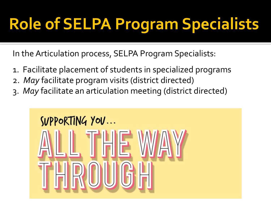# **Role of SELPA Program Specialists**

In the Articulation process, SELPA Program Specialists:

- 1. Facilitate placement of students in specialized programs
- 2. *May* facilitate program visits (district directed)
- 3. *May* facilitate an articulation meeting (district directed)

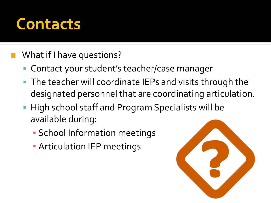#### **Contacts**

#### What if I have questions?

- Contact your student's teacher/case manager
- The teacher will coordinate IEPs and visits through the designated personnel that are coordinating articulation.
- **· High school staff and Program Specialists will be** available during:
	- School Information meetings
	- **EXECUTE: Articulation IEP meetings**

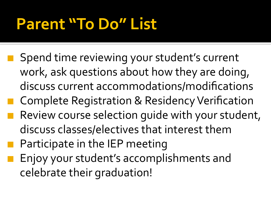# **Parent "To Do" List**

- Spend time reviewing your student's current work, ask questions about how they are doing, discuss current accommodations/modifications
- Complete Registration & Residency Verification
- Review course selection quide with your student, discuss classes/electives that interest them
- Participate in the IEP meeting
- Enjoy your student's accomplishments and celebrate their graduation!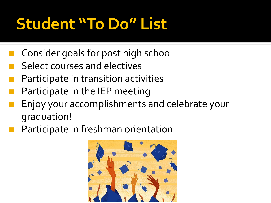# **Student "To Do" List**

- Consider goals for post high school
- Select courses and electives
- Participate in transition activities
- Participate in the IEP meeting
- Enjoy your accomplishments and celebrate your graduation!
- Participate in freshman orientation